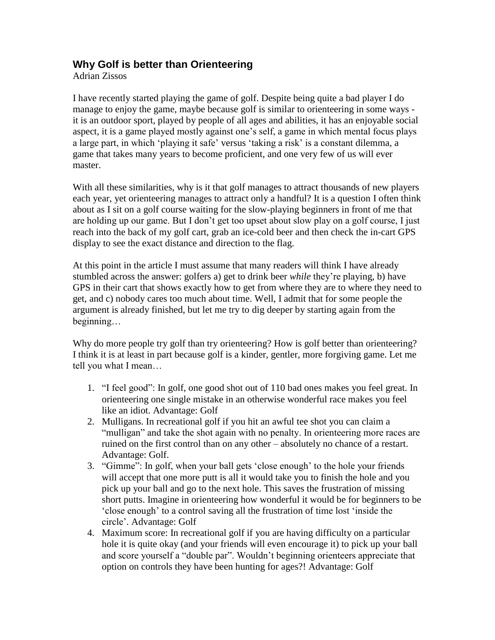## **Why Golf is better than Orienteering**

Adrian Zissos

I have recently started playing the game of golf. Despite being quite a bad player I do manage to enjoy the game, maybe because golf is similar to orienteering in some ways it is an outdoor sport, played by people of all ages and abilities, it has an enjoyable social aspect, it is a game played mostly against one"s self, a game in which mental focus plays a large part, in which "playing it safe" versus "taking a risk" is a constant dilemma, a game that takes many years to become proficient, and one very few of us will ever master.

With all these similarities, why is it that golf manages to attract thousands of new players each year, yet orienteering manages to attract only a handful? It is a question I often think about as I sit on a golf course waiting for the slow-playing beginners in front of me that are holding up our game. But I don"t get too upset about slow play on a golf course, I just reach into the back of my golf cart, grab an ice-cold beer and then check the in-cart GPS display to see the exact distance and direction to the flag.

At this point in the article I must assume that many readers will think I have already stumbled across the answer: golfers a) get to drink beer *while* they"re playing, b) have GPS in their cart that shows exactly how to get from where they are to where they need to get, and c) nobody cares too much about time. Well, I admit that for some people the argument is already finished, but let me try to dig deeper by starting again from the beginning…

Why do more people try golf than try orienteering? How is golf better than orienteering? I think it is at least in part because golf is a kinder, gentler, more forgiving game. Let me tell you what I mean…

- 1. "I feel good": In golf, one good shot out of 110 bad ones makes you feel great. In orienteering one single mistake in an otherwise wonderful race makes you feel like an idiot. Advantage: Golf
- 2. Mulligans. In recreational golf if you hit an awful tee shot you can claim a "mulligan" and take the shot again with no penalty. In orienteering more races are ruined on the first control than on any other – absolutely no chance of a restart. Advantage: Golf.
- 3. "Gimme": In golf, when your ball gets "close enough" to the hole your friends will accept that one more putt is all it would take you to finish the hole and you pick up your ball and go to the next hole. This saves the frustration of missing short putts. Imagine in orienteering how wonderful it would be for beginners to be "close enough" to a control saving all the frustration of time lost "inside the circle". Advantage: Golf
- 4. Maximum score: In recreational golf if you are having difficulty on a particular hole it is quite okay (and your friends will even encourage it) to pick up your ball and score yourself a "double par". Wouldn"t beginning orienteers appreciate that option on controls they have been hunting for ages?! Advantage: Golf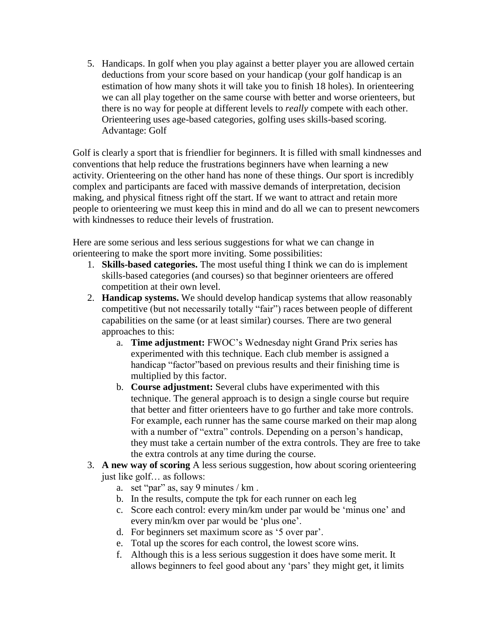5. Handicaps. In golf when you play against a better player you are allowed certain deductions from your score based on your handicap (your golf handicap is an estimation of how many shots it will take you to finish 18 holes). In orienteering we can all play together on the same course with better and worse orienteers, but there is no way for people at different levels to *really* compete with each other. Orienteering uses age-based categories, golfing uses skills-based scoring. Advantage: Golf

Golf is clearly a sport that is friendlier for beginners. It is filled with small kindnesses and conventions that help reduce the frustrations beginners have when learning a new activity. Orienteering on the other hand has none of these things. Our sport is incredibly complex and participants are faced with massive demands of interpretation, decision making, and physical fitness right off the start. If we want to attract and retain more people to orienteering we must keep this in mind and do all we can to present newcomers with kindnesses to reduce their levels of frustration.

Here are some serious and less serious suggestions for what we can change in orienteering to make the sport more inviting. Some possibilities:

- 1. **Skills-based categories.** The most useful thing I think we can do is implement skills-based categories (and courses) so that beginner orienteers are offered competition at their own level.
- 2. **Handicap systems.** We should develop handicap systems that allow reasonably competitive (but not necessarily totally "fair") races between people of different capabilities on the same (or at least similar) courses. There are two general approaches to this:
	- a. **Time adjustment:** FWOC"s Wednesday night Grand Prix series has experimented with this technique. Each club member is assigned a handicap "factor"based on previous results and their finishing time is multiplied by this factor.
	- b. **Course adjustment:** Several clubs have experimented with this technique. The general approach is to design a single course but require that better and fitter orienteers have to go further and take more controls. For example, each runner has the same course marked on their map along with a number of "extra" controls. Depending on a person's handicap, they must take a certain number of the extra controls. They are free to take the extra controls at any time during the course.
- 3. **A new way of scoring** A less serious suggestion, how about scoring orienteering just like golf… as follows:
	- a. set "par" as, say 9 minutes / km .
	- b. In the results, compute the tpk for each runner on each leg
	- c. Score each control: every min/km under par would be "minus one" and every min/km over par would be "plus one".
	- d. For beginners set maximum score as "5 over par".
	- e. Total up the scores for each control, the lowest score wins.
	- f. Although this is a less serious suggestion it does have some merit. It allows beginners to feel good about any "pars" they might get, it limits